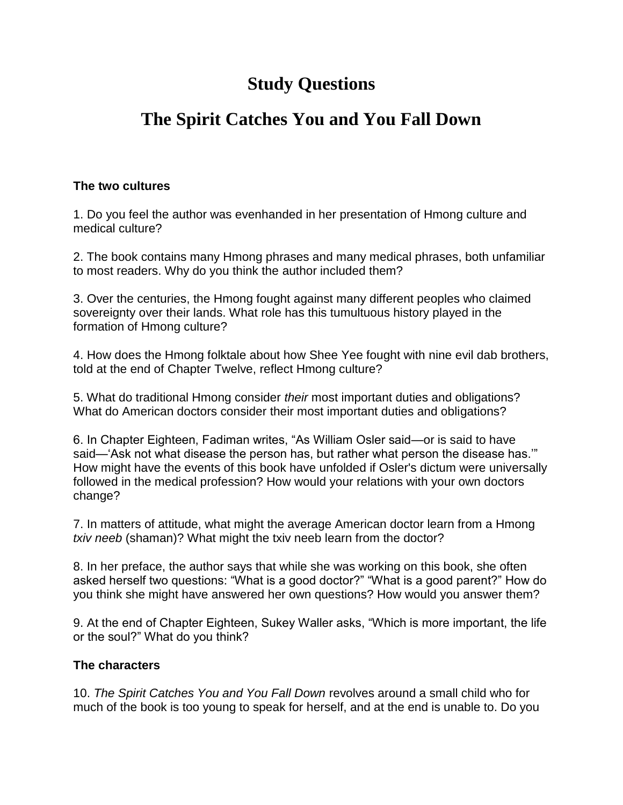# **Study Questions**

# **The Spirit Catches You and You Fall Down**

#### **The two cultures**

1. Do you feel the author was evenhanded in her presentation of Hmong culture and medical culture?

2. The book contains many Hmong phrases and many medical phrases, both unfamiliar to most readers. Why do you think the author included them?

3. Over the centuries, the Hmong fought against many different peoples who claimed sovereignty over their lands. What role has this tumultuous history played in the formation of Hmong culture?

4. How does the Hmong folktale about how Shee Yee fought with nine evil dab brothers, told at the end of Chapter Twelve, reflect Hmong culture?

5. What do traditional Hmong consider *their* most important duties and obligations? What do American doctors consider their most important duties and obligations?

6. In Chapter Eighteen, Fadiman writes, "As William Osler said—or is said to have said—"Ask not what disease the person has, but rather what person the disease has."" How might have the events of this book have unfolded if Osler's dictum were universally followed in the medical profession? How would your relations with your own doctors change?

7. In matters of attitude, what might the average American doctor learn from a Hmong *txiv neeb* (shaman)? What might the txiv neeb learn from the doctor?

8. In her preface, the author says that while she was working on this book, she often asked herself two questions: "What is a good doctor?" "What is a good parent?" How do you think she might have answered her own questions? How would you answer them?

9. At the end of Chapter Eighteen, Sukey Waller asks, "Which is more important, the life or the soul?" What do you think?

## **The characters**

10. *The Spirit Catches You and You Fall Down* revolves around a small child who for much of the book is too young to speak for herself, and at the end is unable to. Do you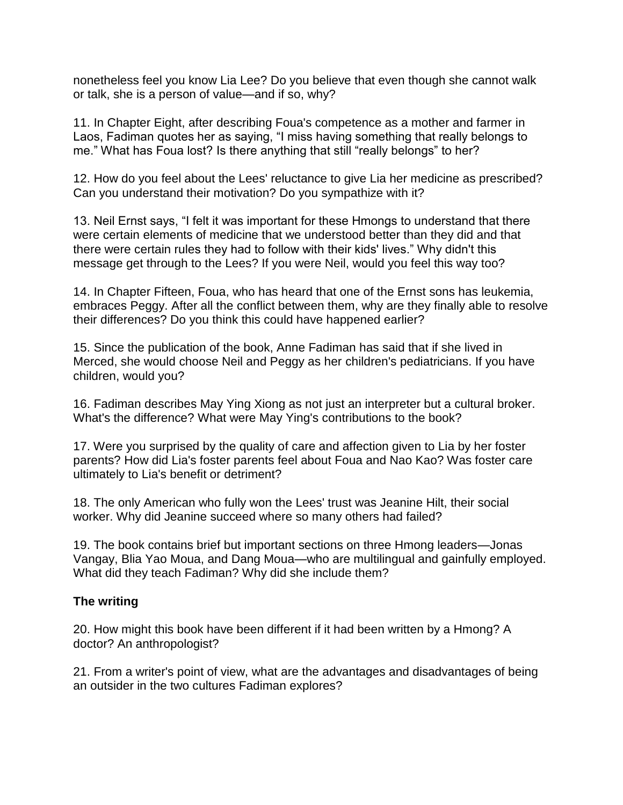nonetheless feel you know Lia Lee? Do you believe that even though she cannot walk or talk, she is a person of value—and if so, why?

11. In Chapter Eight, after describing Foua's competence as a mother and farmer in Laos, Fadiman quotes her as saying, "I miss having something that really belongs to me." What has Foua lost? Is there anything that still "really belongs" to her?

12. How do you feel about the Lees' reluctance to give Lia her medicine as prescribed? Can you understand their motivation? Do you sympathize with it?

13. Neil Ernst says, "I felt it was important for these Hmongs to understand that there were certain elements of medicine that we understood better than they did and that there were certain rules they had to follow with their kids' lives." Why didn't this message get through to the Lees? If you were Neil, would you feel this way too?

14. In Chapter Fifteen, Foua, who has heard that one of the Ernst sons has leukemia, embraces Peggy. After all the conflict between them, why are they finally able to resolve their differences? Do you think this could have happened earlier?

15. Since the publication of the book, Anne Fadiman has said that if she lived in Merced, she would choose Neil and Peggy as her children's pediatricians. If you have children, would you?

16. Fadiman describes May Ying Xiong as not just an interpreter but a cultural broker. What's the difference? What were May Ying's contributions to the book?

17. Were you surprised by the quality of care and affection given to Lia by her foster parents? How did Lia's foster parents feel about Foua and Nao Kao? Was foster care ultimately to Lia's benefit or detriment?

18. The only American who fully won the Lees' trust was Jeanine Hilt, their social worker. Why did Jeanine succeed where so many others had failed?

19. The book contains brief but important sections on three Hmong leaders—Jonas Vangay, Blia Yao Moua, and Dang Moua—who are multilingual and gainfully employed. What did they teach Fadiman? Why did she include them?

## **The writing**

20. How might this book have been different if it had been written by a Hmong? A doctor? An anthropologist?

21. From a writer's point of view, what are the advantages and disadvantages of being an outsider in the two cultures Fadiman explores?